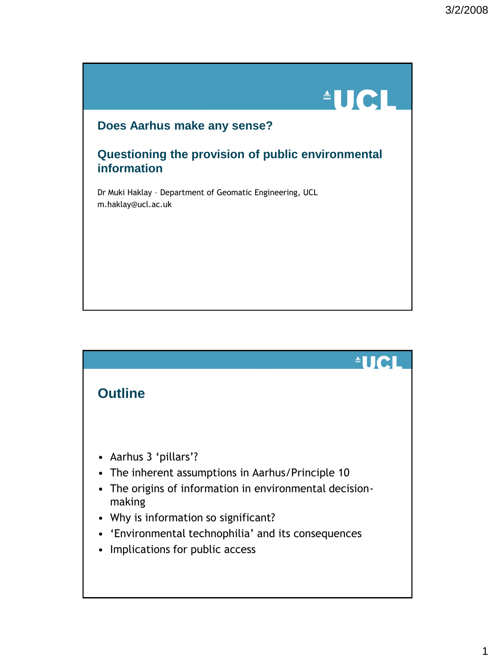# **AUCL**

#### **Does Aarhus make any sense?**

#### **Questioning the provision of public environmental information**

Dr Muki Haklay – Department of Geomatic Engineering, UCL m.haklay@ucl.ac.uk

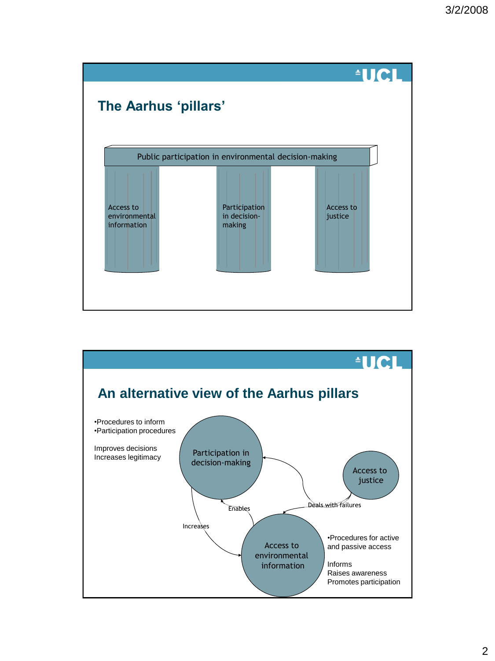

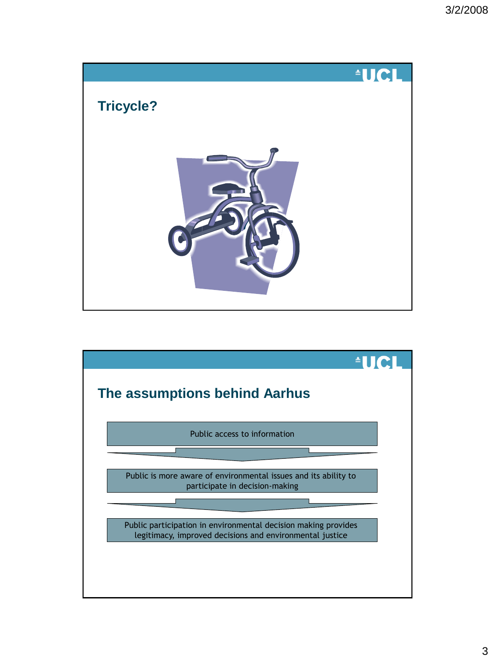![](_page_2_Picture_1.jpeg)

![](_page_2_Figure_2.jpeg)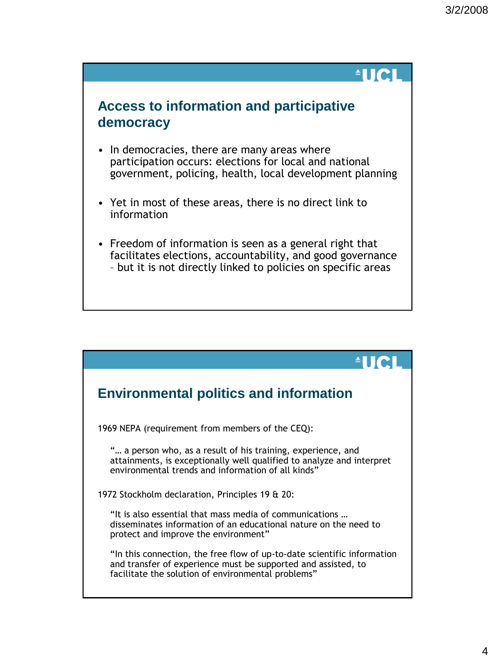#### $\triangleq$ lici

#### **Access to information and participative democracy**

- In democracies, there are many areas where participation occurs: elections for local and national government, policing, health, local development planning
- Yet in most of these areas, there is no direct link to information
- Freedom of information is seen as a general right that facilitates elections, accountability, and good governance – but it is not directly linked to policies on specific areas

![](_page_3_Figure_6.jpeg)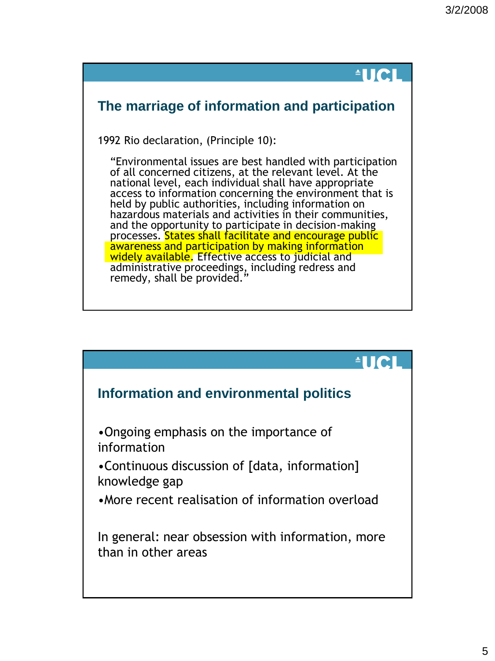# **AUCL**

## **The marriage of information and participation**

1992 Rio declaration, (Principle 10):

"Environmental issues are best handled with participation of all concerned citizens, at the relevant level. At the national level, each individual shall have appropriate access to information concerning the environment that is held by public authorities, including information on hazardous materials and activities in their communities, and the opportunity to participate in decision-making processes. States shall facilitate and encourage public awareness and participation by making information widely available. Effective access to judicial and administrative proceedings, including redress and remedy, shall be provided.

![](_page_4_Figure_5.jpeg)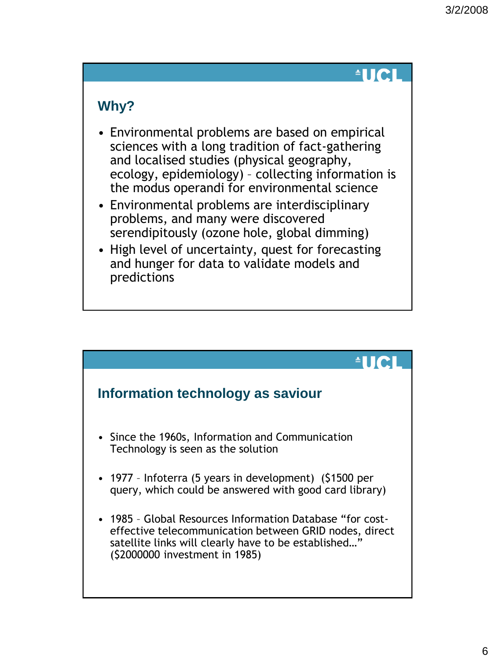## $^4$ IICI

#### **Why?**

- Environmental problems are based on empirical sciences with a long tradition of fact-gathering and localised studies (physical geography, ecology, epidemiology) – collecting information is the modus operandi for environmental science
- Environmental problems are interdisciplinary problems, and many were discovered serendipitously (ozone hole, global dimming)
- High level of uncertainty, quest for forecasting and hunger for data to validate models and predictions

![](_page_5_Figure_6.jpeg)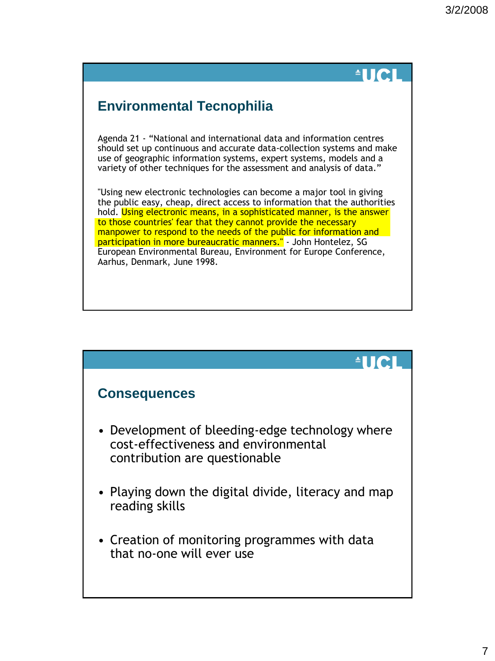# $\blacksquare$

## **Environmental Tecnophilia**

Agenda 21 - "National and international data and information centres should set up continuous and accurate data-collection systems and make use of geographic information systems, expert systems, models and a variety of other techniques for the assessment and analysis of data."

"Using new electronic technologies can become a major tool in giving the public easy, cheap, direct access to information that the authorities hold. Using electronic means, in a sophisticated manner, is the answer to those countries' fear that they cannot provide the necessary manpower to respond to the needs of the public for information and participation in more bureaucratic manners." - John Hontelez, SG European Environmental Bureau, Environment for Europe Conference, Aarhus, Denmark, June 1998.

![](_page_6_Figure_5.jpeg)